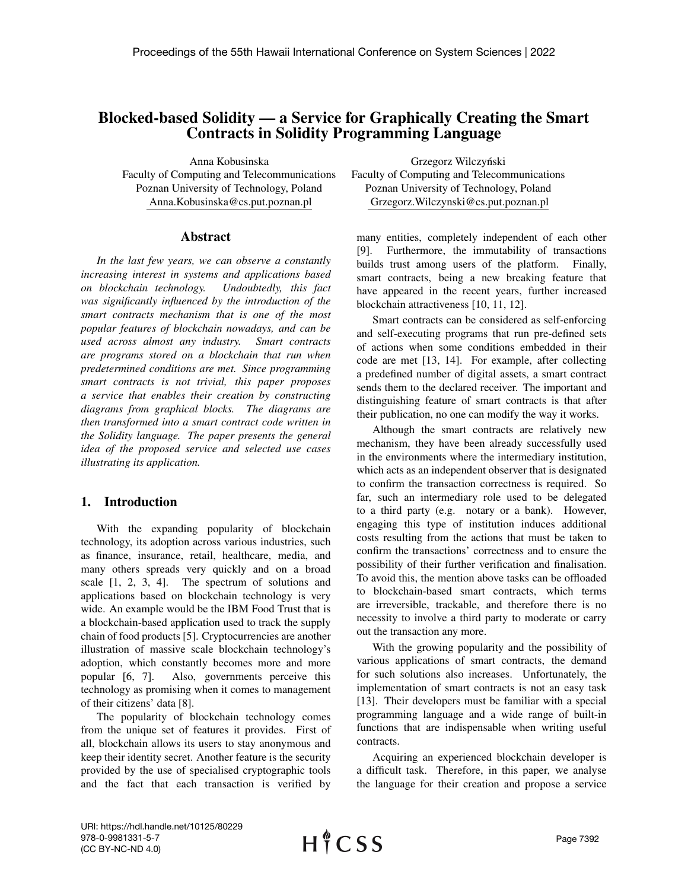# Blocked-based Solidity — a Service for Graphically Creating the Smart Contracts in Solidity Programming Language

Anna Kobusinska Faculty of Computing and Telecommunications Poznan University of Technology, Poland Anna.Kobusinska@cs.put.poznan.pl

#### Abstract

*In the last few years, we can observe a constantly increasing interest in systems and applications based on blockchain technology. Undoubtedly, this fact was significantly influenced by the introduction of the smart contracts mechanism that is one of the most popular features of blockchain nowadays, and can be used across almost any industry. Smart contracts are programs stored on a blockchain that run when predetermined conditions are met. Since programming smart contracts is not trivial, this paper proposes a service that enables their creation by constructing diagrams from graphical blocks. The diagrams are then transformed into a smart contract code written in the Solidity language. The paper presents the general idea of the proposed service and selected use cases illustrating its application.*

## 1. Introduction

With the expanding popularity of blockchain technology, its adoption across various industries, such as finance, insurance, retail, healthcare, media, and many others spreads very quickly and on a broad scale [1, 2, 3, 4]. The spectrum of solutions and applications based on blockchain technology is very wide. An example would be the IBM Food Trust that is a blockchain-based application used to track the supply chain of food products [5]. Cryptocurrencies are another illustration of massive scale blockchain technology's adoption, which constantly becomes more and more popular [6, 7]. Also, governments perceive this technology as promising when it comes to management of their citizens' data [8].

The popularity of blockchain technology comes from the unique set of features it provides. First of all, blockchain allows its users to stay anonymous and keep their identity secret. Another feature is the security provided by the use of specialised cryptographic tools and the fact that each transaction is verified by

Grzegorz Wilczyński Faculty of Computing and Telecommunications Poznan University of Technology, Poland Grzegorz.Wilczynski@cs.put.poznan.pl

many entities, completely independent of each other [9]. Furthermore, the immutability of transactions builds trust among users of the platform. Finally, smart contracts, being a new breaking feature that have appeared in the recent years, further increased blockchain attractiveness [10, 11, 12].

Smart contracts can be considered as self-enforcing and self-executing programs that run pre-defined sets of actions when some conditions embedded in their code are met [13, 14]. For example, after collecting a predefined number of digital assets, a smart contract sends them to the declared receiver. The important and distinguishing feature of smart contracts is that after their publication, no one can modify the way it works.

Although the smart contracts are relatively new mechanism, they have been already successfully used in the environments where the intermediary institution, which acts as an independent observer that is designated to confirm the transaction correctness is required. So far, such an intermediary role used to be delegated to a third party (e.g. notary or a bank). However, engaging this type of institution induces additional costs resulting from the actions that must be taken to confirm the transactions' correctness and to ensure the possibility of their further verification and finalisation. To avoid this, the mention above tasks can be offloaded to blockchain-based smart contracts, which terms are irreversible, trackable, and therefore there is no necessity to involve a third party to moderate or carry out the transaction any more.

With the growing popularity and the possibility of various applications of smart contracts, the demand for such solutions also increases. Unfortunately, the implementation of smart contracts is not an easy task [13]. Their developers must be familiar with a special programming language and a wide range of built-in functions that are indispensable when writing useful contracts.

Acquiring an experienced blockchain developer is a difficult task. Therefore, in this paper, we analyse the language for their creation and propose a service

URI: https://hdl.handle.net/10125/80229 978-0-9981331-5-7 (CC BY-NC-ND 4.0)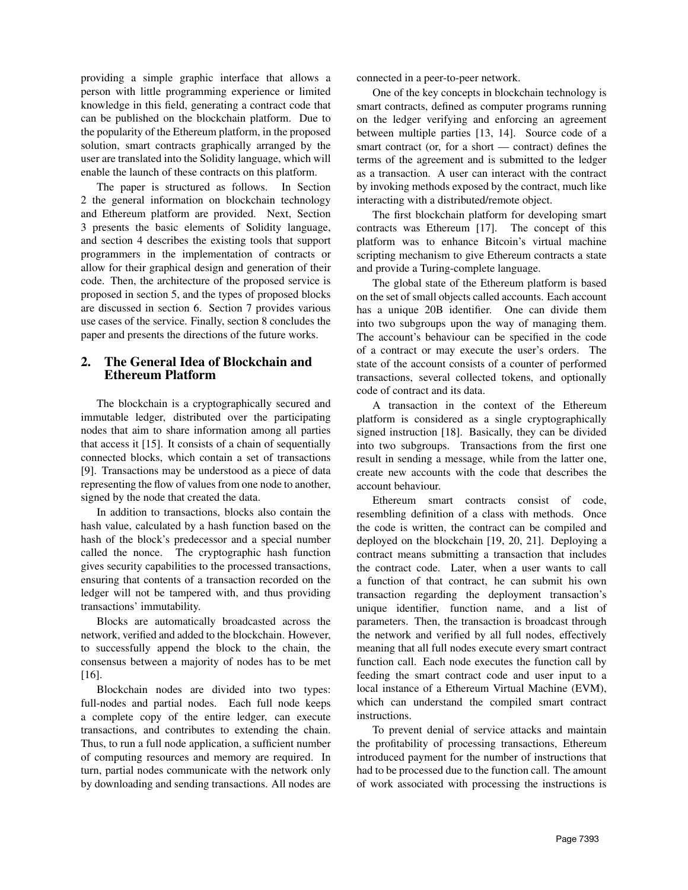providing a simple graphic interface that allows a person with little programming experience or limited knowledge in this field, generating a contract code that can be published on the blockchain platform. Due to the popularity of the Ethereum platform, in the proposed solution, smart contracts graphically arranged by the user are translated into the Solidity language, which will enable the launch of these contracts on this platform.

The paper is structured as follows. In Section 2 the general information on blockchain technology and Ethereum platform are provided. Next, Section 3 presents the basic elements of Solidity language, and section 4 describes the existing tools that support programmers in the implementation of contracts or allow for their graphical design and generation of their code. Then, the architecture of the proposed service is proposed in section 5, and the types of proposed blocks are discussed in section 6. Section 7 provides various use cases of the service. Finally, section 8 concludes the paper and presents the directions of the future works.

## 2. The General Idea of Blockchain and Ethereum Platform

The blockchain is a cryptographically secured and immutable ledger, distributed over the participating nodes that aim to share information among all parties that access it [15]. It consists of a chain of sequentially connected blocks, which contain a set of transactions [9]. Transactions may be understood as a piece of data representing the flow of values from one node to another, signed by the node that created the data.

In addition to transactions, blocks also contain the hash value, calculated by a hash function based on the hash of the block's predecessor and a special number called the nonce. The cryptographic hash function gives security capabilities to the processed transactions, ensuring that contents of a transaction recorded on the ledger will not be tampered with, and thus providing transactions' immutability.

Blocks are automatically broadcasted across the network, verified and added to the blockchain. However, to successfully append the block to the chain, the consensus between a majority of nodes has to be met [16].

Blockchain nodes are divided into two types: full-nodes and partial nodes. Each full node keeps a complete copy of the entire ledger, can execute transactions, and contributes to extending the chain. Thus, to run a full node application, a sufficient number of computing resources and memory are required. In turn, partial nodes communicate with the network only by downloading and sending transactions. All nodes are

connected in a peer-to-peer network.

One of the key concepts in blockchain technology is smart contracts, defined as computer programs running on the ledger verifying and enforcing an agreement between multiple parties [13, 14]. Source code of a smart contract (or, for a short — contract) defines the terms of the agreement and is submitted to the ledger as a transaction. A user can interact with the contract by invoking methods exposed by the contract, much like interacting with a distributed/remote object.

The first blockchain platform for developing smart contracts was Ethereum [17]. The concept of this platform was to enhance Bitcoin's virtual machine scripting mechanism to give Ethereum contracts a state and provide a Turing-complete language.

The global state of the Ethereum platform is based on the set of small objects called accounts. Each account has a unique 20B identifier. One can divide them into two subgroups upon the way of managing them. The account's behaviour can be specified in the code of a contract or may execute the user's orders. The state of the account consists of a counter of performed transactions, several collected tokens, and optionally code of contract and its data.

A transaction in the context of the Ethereum platform is considered as a single cryptographically signed instruction [18]. Basically, they can be divided into two subgroups. Transactions from the first one result in sending a message, while from the latter one, create new accounts with the code that describes the account behaviour.

Ethereum smart contracts consist of code, resembling definition of a class with methods. Once the code is written, the contract can be compiled and deployed on the blockchain [19, 20, 21]. Deploying a contract means submitting a transaction that includes the contract code. Later, when a user wants to call a function of that contract, he can submit his own transaction regarding the deployment transaction's unique identifier, function name, and a list of parameters. Then, the transaction is broadcast through the network and verified by all full nodes, effectively meaning that all full nodes execute every smart contract function call. Each node executes the function call by feeding the smart contract code and user input to a local instance of a Ethereum Virtual Machine (EVM), which can understand the compiled smart contract instructions.

To prevent denial of service attacks and maintain the profitability of processing transactions, Ethereum introduced payment for the number of instructions that had to be processed due to the function call. The amount of work associated with processing the instructions is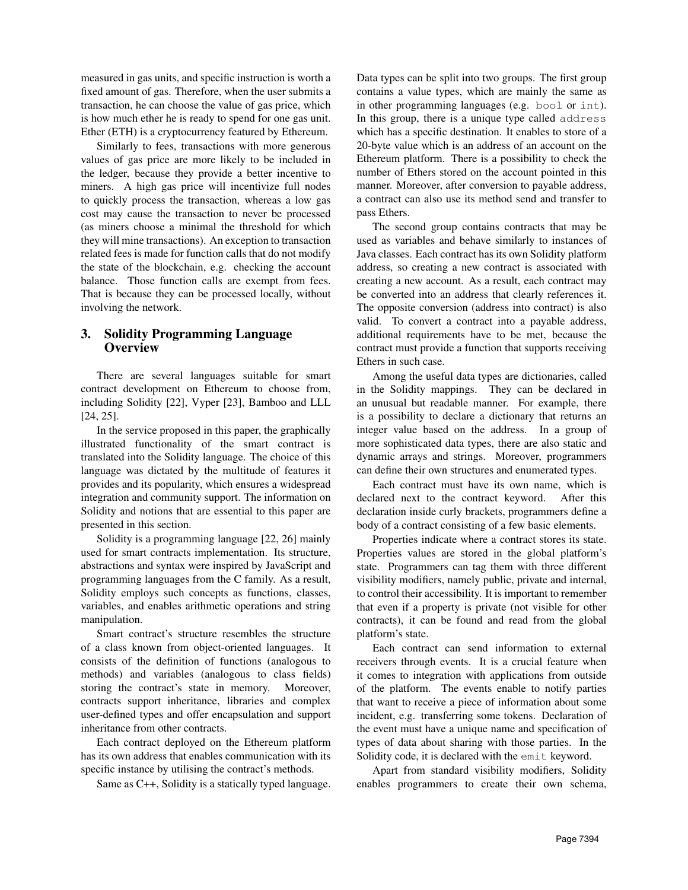measured in gas units, and specific instruction is worth a fixed amount of gas. Therefore, when the user submits a transaction, he can choose the value of gas price, which is how much ether he is ready to spend for one gas unit. Ether (ETH) is a cryptocurrency featured by Ethereum.

Similarly to fees, transactions with more generous values of gas price are more likely to be included in the ledger, because they provide a better incentive to miners. A high gas price will incentivize full nodes to quickly process the transaction, whereas a low gas cost may cause the transaction to never be processed (as miners choose a minimal the threshold for which they will mine transactions). An exception to transaction related fees is made for function calls that do not modify the state of the blockchain, e.g. checking the account balance. Those function calls are exempt from fees. That is because they can be processed locally, without involving the network.

## 3. Solidity Programming Language **Overview**

There are several languages suitable for smart contract development on Ethereum to choose from, including Solidity [22], Vyper [23], Bamboo and LLL [24, 25].

In the service proposed in this paper, the graphically illustrated functionality of the smart contract is translated into the Solidity language. The choice of this language was dictated by the multitude of features it provides and its popularity, which ensures a widespread integration and community support. The information on Solidity and notions that are essential to this paper are presented in this section.

Solidity is a programming language [22, 26] mainly used for smart contracts implementation. Its structure, abstractions and syntax were inspired by JavaScript and programming languages from the C family. As a result, Solidity employs such concepts as functions, classes, variables, and enables arithmetic operations and string manipulation.

Smart contract's structure resembles the structure of a class known from object-oriented languages. It consists of the definition of functions (analogous to methods) and variables (analogous to class fields) storing the contract's state in memory. Moreover, contracts support inheritance, libraries and complex user-defined types and offer encapsulation and support inheritance from other contracts.

Each contract deployed on the Ethereum platform has its own address that enables communication with its specific instance by utilising the contract's methods.

Same as C++, Solidity is a statically typed language.

Data types can be split into two groups. The first group contains a value types, which are mainly the same as in other programming languages (e.g. bool or int). In this group, there is a unique type called address which has a specific destination. It enables to store of a 20-byte value which is an address of an account on the Ethereum platform. There is a possibility to check the number of Ethers stored on the account pointed in this manner. Moreover, after conversion to payable address, a contract can also use its method send and transfer to pass Ethers.

The second group contains contracts that may be used as variables and behave similarly to instances of Java classes. Each contract has its own Solidity platform address, so creating a new contract is associated with creating a new account. As a result, each contract may be converted into an address that clearly references it. The opposite conversion (address into contract) is also valid. To convert a contract into a payable address, additional requirements have to be met, because the contract must provide a function that supports receiving Ethers in such case.

Among the useful data types are dictionaries, called in the Solidity mappings. They can be declared in an unusual but readable manner. For example, there is a possibility to declare a dictionary that returns an integer value based on the address. In a group of more sophisticated data types, there are also static and dynamic arrays and strings. Moreover, programmers can define their own structures and enumerated types.

Each contract must have its own name, which is declared next to the contract keyword. After this declaration inside curly brackets, programmers define a body of a contract consisting of a few basic elements.

Properties indicate where a contract stores its state. Properties values are stored in the global platform's state. Programmers can tag them with three different visibility modifiers, namely public, private and internal, to control their accessibility. It is important to remember that even if a property is private (not visible for other contracts), it can be found and read from the global platform's state.

Each contract can send information to external receivers through events. It is a crucial feature when it comes to integration with applications from outside of the platform. The events enable to notify parties that want to receive a piece of information about some incident, e.g. transferring some tokens. Declaration of the event must have a unique name and specification of types of data about sharing with those parties. In the Solidity code, it is declared with the emit keyword.

Apart from standard visibility modifiers, Solidity enables programmers to create their own schema,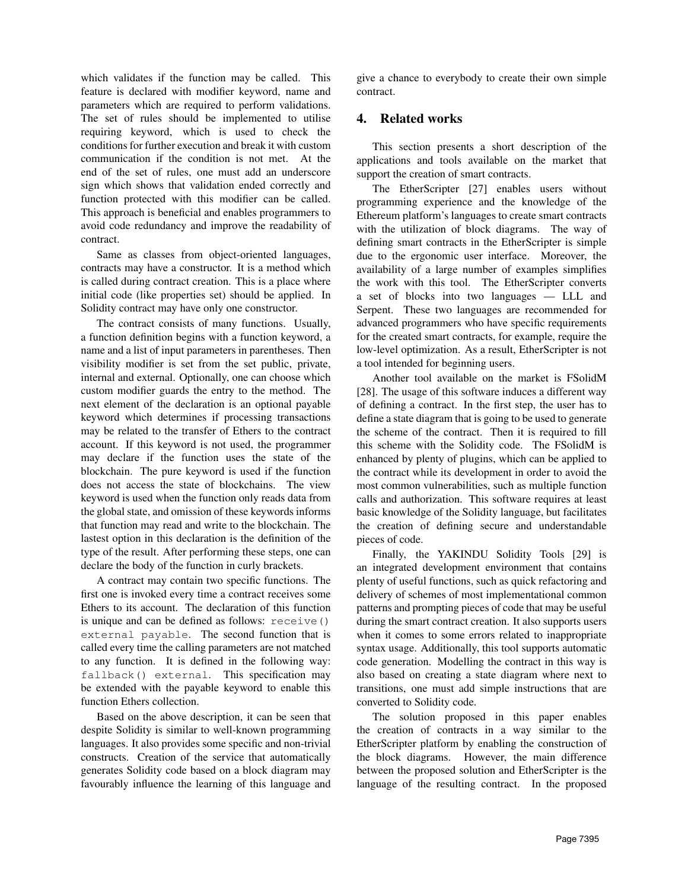which validates if the function may be called. This feature is declared with modifier keyword, name and parameters which are required to perform validations. The set of rules should be implemented to utilise requiring keyword, which is used to check the conditions for further execution and break it with custom communication if the condition is not met. At the end of the set of rules, one must add an underscore sign which shows that validation ended correctly and function protected with this modifier can be called. This approach is beneficial and enables programmers to avoid code redundancy and improve the readability of contract.

Same as classes from object-oriented languages, contracts may have a constructor. It is a method which is called during contract creation. This is a place where initial code (like properties set) should be applied. In Solidity contract may have only one constructor.

The contract consists of many functions. Usually, a function definition begins with a function keyword, a name and a list of input parameters in parentheses. Then visibility modifier is set from the set public, private, internal and external. Optionally, one can choose which custom modifier guards the entry to the method. The next element of the declaration is an optional payable keyword which determines if processing transactions may be related to the transfer of Ethers to the contract account. If this keyword is not used, the programmer may declare if the function uses the state of the blockchain. The pure keyword is used if the function does not access the state of blockchains. The view keyword is used when the function only reads data from the global state, and omission of these keywords informs that function may read and write to the blockchain. The lastest option in this declaration is the definition of the type of the result. After performing these steps, one can declare the body of the function in curly brackets.

A contract may contain two specific functions. The first one is invoked every time a contract receives some Ethers to its account. The declaration of this function is unique and can be defined as follows: receive() external payable. The second function that is called every time the calling parameters are not matched to any function. It is defined in the following way: fallback() external. This specification may be extended with the payable keyword to enable this function Ethers collection.

Based on the above description, it can be seen that despite Solidity is similar to well-known programming languages. It also provides some specific and non-trivial constructs. Creation of the service that automatically generates Solidity code based on a block diagram may favourably influence the learning of this language and give a chance to everybody to create their own simple contract.

## 4. Related works

This section presents a short description of the applications and tools available on the market that support the creation of smart contracts.

The EtherScripter [27] enables users without programming experience and the knowledge of the Ethereum platform's languages to create smart contracts with the utilization of block diagrams. The way of defining smart contracts in the EtherScripter is simple due to the ergonomic user interface. Moreover, the availability of a large number of examples simplifies the work with this tool. The EtherScripter converts a set of blocks into two languages — LLL and Serpent. These two languages are recommended for advanced programmers who have specific requirements for the created smart contracts, for example, require the low-level optimization. As a result, EtherScripter is not a tool intended for beginning users.

Another tool available on the market is FSolidM [28]. The usage of this software induces a different way of defining a contract. In the first step, the user has to define a state diagram that is going to be used to generate the scheme of the contract. Then it is required to fill this scheme with the Solidity code. The FSolidM is enhanced by plenty of plugins, which can be applied to the contract while its development in order to avoid the most common vulnerabilities, such as multiple function calls and authorization. This software requires at least basic knowledge of the Solidity language, but facilitates the creation of defining secure and understandable pieces of code.

Finally, the YAKINDU Solidity Tools [29] is an integrated development environment that contains plenty of useful functions, such as quick refactoring and delivery of schemes of most implementational common patterns and prompting pieces of code that may be useful during the smart contract creation. It also supports users when it comes to some errors related to inappropriate syntax usage. Additionally, this tool supports automatic code generation. Modelling the contract in this way is also based on creating a state diagram where next to transitions, one must add simple instructions that are converted to Solidity code.

The solution proposed in this paper enables the creation of contracts in a way similar to the EtherScripter platform by enabling the construction of the block diagrams. However, the main difference between the proposed solution and EtherScripter is the language of the resulting contract. In the proposed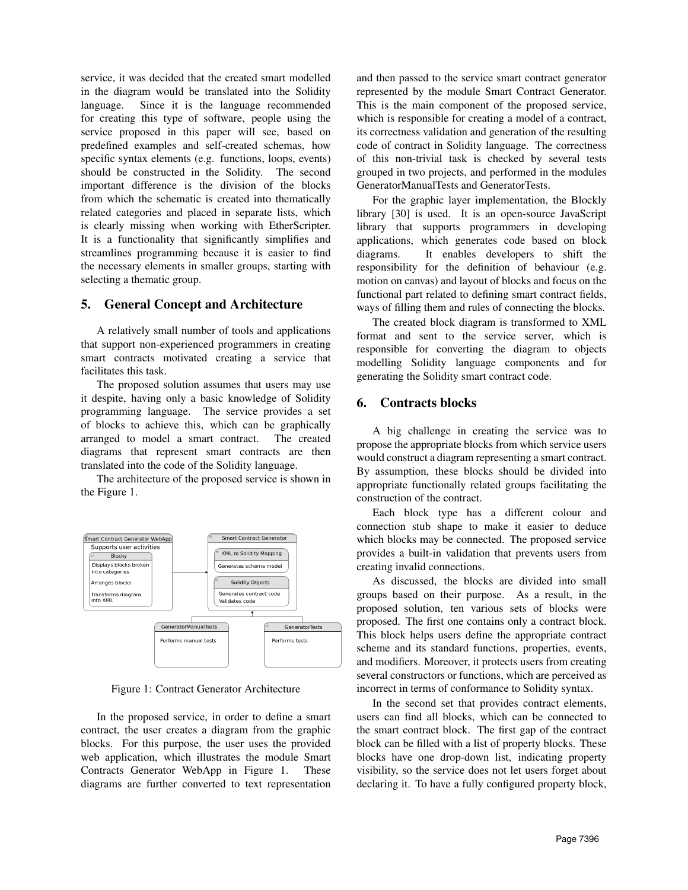service, it was decided that the created smart modelled in the diagram would be translated into the Solidity language. Since it is the language recommended for creating this type of software, people using the service proposed in this paper will see, based on predefined examples and self-created schemas, how specific syntax elements (e.g. functions, loops, events) should be constructed in the Solidity. The second important difference is the division of the blocks from which the schematic is created into thematically related categories and placed in separate lists, which is clearly missing when working with EtherScripter. It is a functionality that significantly simplifies and streamlines programming because it is easier to find the necessary elements in smaller groups, starting with selecting a thematic group.

## 5. General Concept and Architecture

A relatively small number of tools and applications that support non-experienced programmers in creating smart contracts motivated creating a service that facilitates this task.

The proposed solution assumes that users may use it despite, having only a basic knowledge of Solidity programming language. The service provides a set of blocks to achieve this, which can be graphically arranged to model a smart contract. The created diagrams that represent smart contracts are then translated into the code of the Solidity language.

The architecture of the proposed service is shown in the Figure 1.



Figure 1: Contract Generator Architecture

In the proposed service, in order to define a smart contract, the user creates a diagram from the graphic blocks. For this purpose, the user uses the provided web application, which illustrates the module Smart Contracts Generator WebApp in Figure 1. These diagrams are further converted to text representation and then passed to the service smart contract generator represented by the module Smart Contract Generator. This is the main component of the proposed service, which is responsible for creating a model of a contract, its correctness validation and generation of the resulting code of contract in Solidity language. The correctness of this non-trivial task is checked by several tests grouped in two projects, and performed in the modules GeneratorManualTests and GeneratorTests.

For the graphic layer implementation, the Blockly library [30] is used. It is an open-source JavaScript library that supports programmers in developing applications, which generates code based on block diagrams. It enables developers to shift the responsibility for the definition of behaviour (e.g. motion on canvas) and layout of blocks and focus on the functional part related to defining smart contract fields, ways of filling them and rules of connecting the blocks.

The created block diagram is transformed to XML format and sent to the service server, which is responsible for converting the diagram to objects modelling Solidity language components and for generating the Solidity smart contract code.

### 6. Contracts blocks

A big challenge in creating the service was to propose the appropriate blocks from which service users would construct a diagram representing a smart contract. By assumption, these blocks should be divided into appropriate functionally related groups facilitating the construction of the contract.

Each block type has a different colour and connection stub shape to make it easier to deduce which blocks may be connected. The proposed service provides a built-in validation that prevents users from creating invalid connections.

As discussed, the blocks are divided into small groups based on their purpose. As a result, in the proposed solution, ten various sets of blocks were proposed. The first one contains only a contract block. This block helps users define the appropriate contract scheme and its standard functions, properties, events, and modifiers. Moreover, it protects users from creating several constructors or functions, which are perceived as incorrect in terms of conformance to Solidity syntax.

In the second set that provides contract elements, users can find all blocks, which can be connected to the smart contract block. The first gap of the contract block can be filled with a list of property blocks. These blocks have one drop-down list, indicating property visibility, so the service does not let users forget about declaring it. To have a fully configured property block,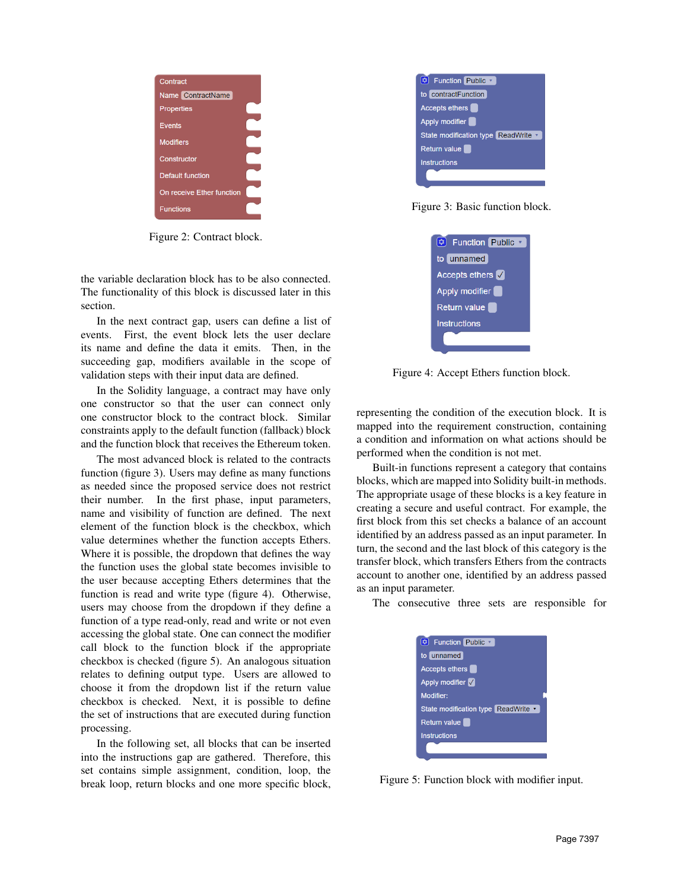

Figure 2: Contract block.

the variable declaration block has to be also connected. The functionality of this block is discussed later in this section.

In the next contract gap, users can define a list of events. First, the event block lets the user declare its name and define the data it emits. Then, in the succeeding gap, modifiers available in the scope of validation steps with their input data are defined.

In the Solidity language, a contract may have only one constructor so that the user can connect only one constructor block to the contract block. Similar constraints apply to the default function (fallback) block and the function block that receives the Ethereum token.

The most advanced block is related to the contracts function (figure 3). Users may define as many functions as needed since the proposed service does not restrict their number. In the first phase, input parameters, name and visibility of function are defined. The next element of the function block is the checkbox, which value determines whether the function accepts Ethers. Where it is possible, the dropdown that defines the way the function uses the global state becomes invisible to the user because accepting Ethers determines that the function is read and write type (figure 4). Otherwise, users may choose from the dropdown if they define a function of a type read-only, read and write or not even accessing the global state. One can connect the modifier call block to the function block if the appropriate checkbox is checked (figure 5). An analogous situation relates to defining output type. Users are allowed to choose it from the dropdown list if the return value checkbox is checked. Next, it is possible to define the set of instructions that are executed during function processing.

In the following set, all blocks that can be inserted into the instructions gap are gathered. Therefore, this set contains simple assignment, condition, loop, the break loop, return blocks and one more specific block,



Figure 3: Basic function block.



Figure 4: Accept Ethers function block.

representing the condition of the execution block. It is mapped into the requirement construction, containing a condition and information on what actions should be performed when the condition is not met.

Built-in functions represent a category that contains blocks, which are mapped into Solidity built-in methods. The appropriate usage of these blocks is a key feature in creating a secure and useful contract. For example, the first block from this set checks a balance of an account identified by an address passed as an input parameter. In turn, the second and the last block of this category is the transfer block, which transfers Ethers from the contracts account to another one, identified by an address passed as an input parameter.

The consecutive three sets are responsible for



Figure 5: Function block with modifier input.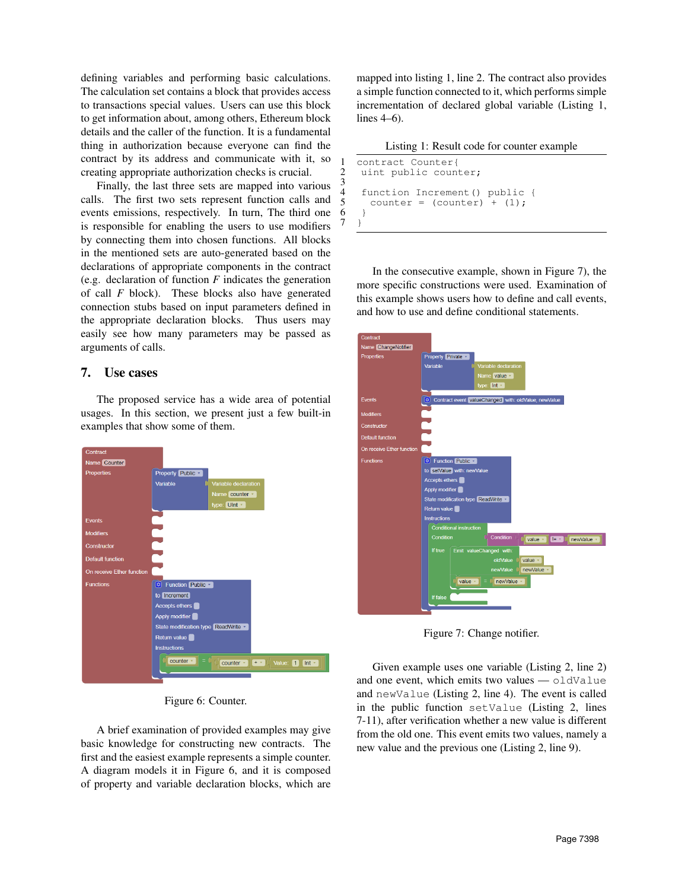defining variables and performing basic calculations. The calculation set contains a block that provides access to transactions special values. Users can use this block to get information about, among others, Ethereum block details and the caller of the function. It is a fundamental thing in authorization because everyone can find the contract by its address and communicate with it, so creating appropriate authorization checks is crucial.

Finally, the last three sets are mapped into various calls. The first two sets represent function calls and events emissions, respectively. In turn, The third one is responsible for enabling the users to use modifiers by connecting them into chosen functions. All blocks in the mentioned sets are auto-generated based on the declarations of appropriate components in the contract (e.g. declaration of function *F* indicates the generation of call *F* block). These blocks also have generated connection stubs based on input parameters defined in the appropriate declaration blocks. Thus users may easily see how many parameters may be passed as arguments of calls.

#### 7. Use cases

The proposed service has a wide area of potential usages. In this section, we present just a few built-in examples that show some of them.



Figure 6: Counter.

A brief examination of provided examples may give basic knowledge for constructing new contracts. The first and the easiest example represents a simple counter. A diagram models it in Figure 6, and it is composed of property and variable declaration blocks, which are mapped into listing 1, line 2. The contract also provides a simple function connected to it, which performs simple incrementation of declared global variable (Listing 1, lines 4–6).

Listing 1: Result code for counter example

| 1           | contract Counter{               |
|-------------|---------------------------------|
| 3           | 2 uint public counter;          |
|             | 4 function Increment() public { |
| $5^{\circ}$ | counter = $(counter) + (1)$ ;   |
| 6           |                                 |
|             |                                 |

 $\frac{3}{4}$ 

6

In the consecutive example, shown in Figure 7), the more specific constructions were used. Examination of this example shows users how to define and call events, and how to use and define conditional statements.



Figure 7: Change notifier.

Given example uses one variable (Listing 2, line 2) and one event, which emits two values — oldValue and newValue (Listing 2, line 4). The event is called in the public function setValue (Listing 2, lines 7-11), after verification whether a new value is different from the old one. This event emits two values, namely a new value and the previous one (Listing 2, line 9).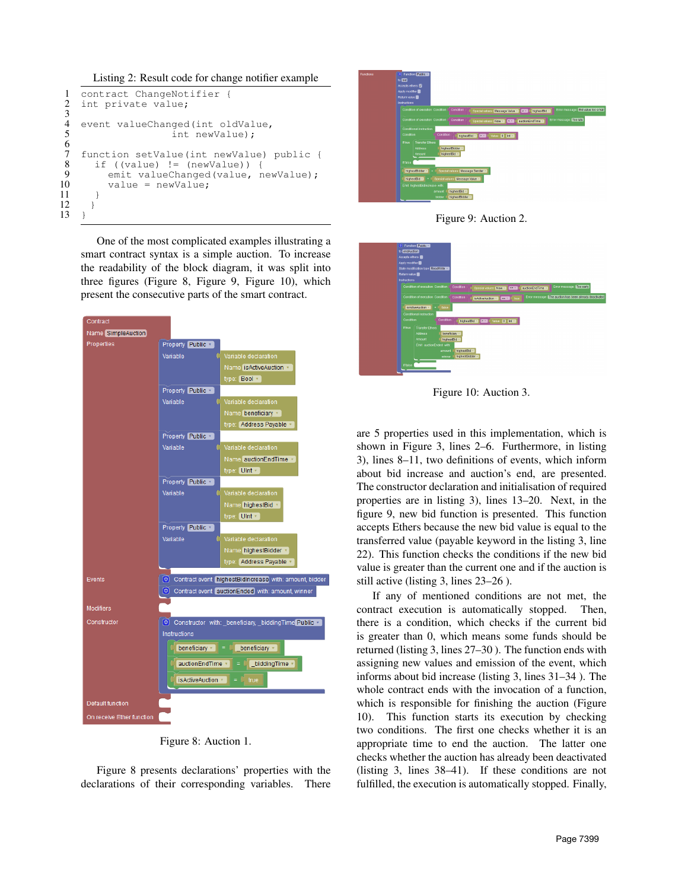Listing 2: Result code for change notifier example

```
1 contract ChangeNotifier {<br>2 int private value;
     int private value;
4 event valueChanged(int oldValue,<br>5 int newValue):
                           int newValue);
7 function setValue(int newValue) public {<br>8 if ((value) != (newValue)) {
8 if ((value) != (newValue))<br>9 emit valueChanged(value,
9 emit valueChanged(value, newValue);<br>10 value = newValue;
            value = newValue;12 }
13 }
```
One of the most complicated examples illustrating a smart contract syntax is a simple auction. To increase the readability of the block diagram, it was split into three figures (Figure 8, Figure 9, Figure 10), which present the consecutive parts of the smart contract.



Figure 8: Auction 1.

Figure 8 presents declarations' properties with the declarations of their corresponding variables. There







Figure 10: Auction 3.

are 5 properties used in this implementation, which is shown in Figure 3, lines 2–6. Furthermore, in listing 3), lines 8–11, two definitions of events, which inform about bid increase and auction's end, are presented. The constructor declaration and initialisation of required properties are in listing 3), lines 13–20. Next, in the figure 9, new bid function is presented. This function accepts Ethers because the new bid value is equal to the transferred value (payable keyword in the listing 3, line 22). This function checks the conditions if the new bid value is greater than the current one and if the auction is still active (listing 3, lines 23–26 ).

If any of mentioned conditions are not met, the contract execution is automatically stopped. Then, there is a condition, which checks if the current bid is greater than 0, which means some funds should be returned (listing 3, lines 27–30 ). The function ends with assigning new values and emission of the event, which informs about bid increase (listing 3, lines 31–34 ). The whole contract ends with the invocation of a function, which is responsible for finishing the auction (Figure 10). This function starts its execution by checking two conditions. The first one checks whether it is an appropriate time to end the auction. The latter one checks whether the auction has already been deactivated (listing 3, lines 38–41). If these conditions are not fulfilled, the execution is automatically stopped. Finally,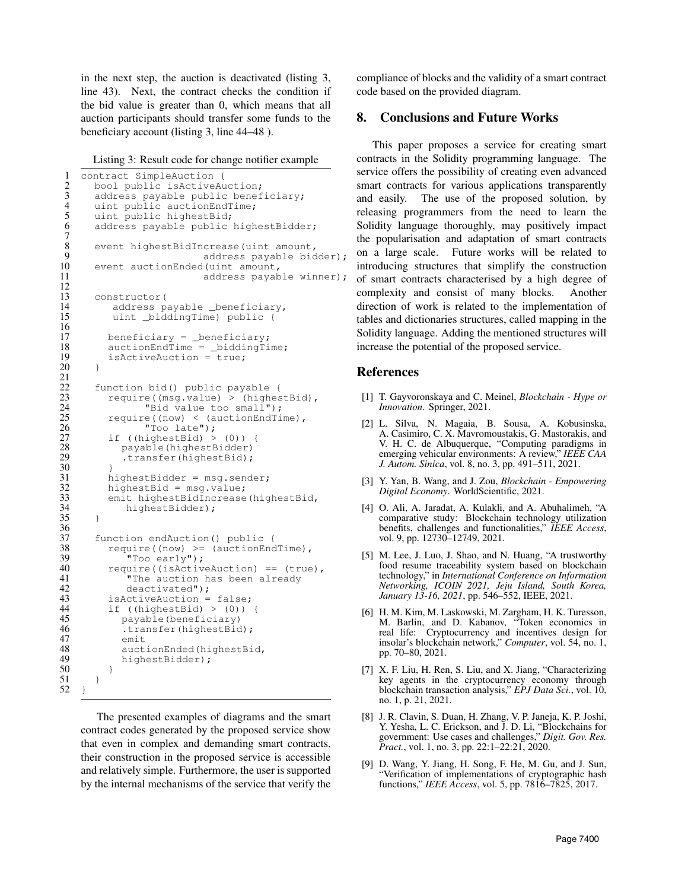in the next step, the auction is deactivated (listing 3, line 43). Next, the contract checks the condition if the bid value is greater than 0, which means that all auction participants should transfer some funds to the beneficiary account (listing 3, line 44–48 ).

Listing 3: Result code for change notifier example

 $7\over 8$ 

 $\frac{12}{13}$ 

16

 $\begin{array}{c} 21 \\ 22 \\ 23 \end{array}$ 

30 }

 $\frac{36}{37}$ 

50 }

```
1 contract SimpleAuction {
 2 bool public isActiveAuction;<br>3 address pavable public benef
 3 address payable public beneficiary;<br>4 uint public auctionEndTime;
 4 uint public auctionEndTime;<br>5 uint public highestBid;
 5 uint public highestBid;<br>6 address payable public
        address payable public highestBidder;
 8 event highestBidIncrease(uint amount,<br>9 address payable bid
9 address payable bidder);<br>10 event auctionEnded(uint amount,
10 event auctionEnded(uint amount,<br>11 address pavab
                                   address payable winner);
13 constructor(<br>14 address p
14 address payable _beneficiary,<br>15 uint _biddingTime) public {
             uint _biddingTime) public {
17 beneficiary = _beneficiary;
18 auctionEndTime = _biddingTime;
19 isActiveAuction = true;
20 }
        function bid() public payable {
23 require((msg.value) > (highestBid),<br>24 TBid value too small");
24 TBid value too small");<br>25 mequire((now) < (auctionEndTin
25 require((now) < (auctionEndTime),<br>26 Too late");
26 "Too late");<br>27 if ((highestBid) ><br>28 payable(highestE
            if ((highestBid) > (0)) {
28 payable(highestBidder)<br>29 transfer(highestBid);
                .transfer(highestBid);
31 highestBidder = msg.sender;<br>32 highestBid = msg.value;<br>33 emit highestBidIncrease(hig
            highestBid = msg.value;33 emit highestBidIncrease(highestBid,<br>34 highestBidder);
                highestBidder);
35 }
37 function endAuction() public {<br>38 fequire((now) >= (auctionEnc
38 require((now) >= (auctionEndTime),<br>39 "Too early");<br>40 require((isActiveAuction) == (true
                 "Too early");
40 require((isActiveAuction) == (true),<br>41 The auction has been already
41 The auction has been already<br>42 deactivated");
42 deactivated");<br>43 isActiveAuction =
43 is Active Auction = false;<br>44 if ((highest Bid) > (0))
44 if ((highestBid) > (0)) {<br>45 payable(beneficiary)
45 payable(beneficiary)<br>46 .transfer(highestBid)
46 .transfer(highestBid);<br>47 emit
47 emit<br>48 auct
48 auctionEnded(highestBid,<br>49 highestBidder);
               highestBidder);
51 }
52 }
```
The presented examples of diagrams and the smart contract codes generated by the proposed service show that even in complex and demanding smart contracts, their construction in the proposed service is accessible and relatively simple. Furthermore, the user is supported by the internal mechanisms of the service that verify the compliance of blocks and the validity of a smart contract code based on the provided diagram.

#### 8. Conclusions and Future Works

This paper proposes a service for creating smart contracts in the Solidity programming language. The service offers the possibility of creating even advanced smart contracts for various applications transparently and easily. The use of the proposed solution, by releasing programmers from the need to learn the Solidity language thoroughly, may positively impact the popularisation and adaptation of smart contracts on a large scale. Future works will be related to introducing structures that simplify the construction of smart contracts characterised by a high degree of complexity and consist of many blocks. Another direction of work is related to the implementation of tables and dictionaries structures, called mapping in the Solidity language. Adding the mentioned structures will increase the potential of the proposed service.

#### References

- [1] T. Gayvoronskaya and C. Meinel, *Blockchain Hype or Innovation*. Springer, 2021.
- [2] L. Silva, N. Magaia, B. Sousa, A. Kobusinska, A. Casimiro, C. X. Mavromoustakis, G. Mastorakis, and V. H. C. de Albuquerque, "Computing paradigms in emerging vehicular environments: A review," *IEEE CAA J. Autom. Sinica*, vol. 8, no. 3, pp. 491–511, 2021.
- [3] Y. Yan, B. Wang, and J. Zou, *Blockchain Empowering Digital Economy*. WorldScientific, 2021.
- [4] O. Ali, A. Jaradat, A. Kulakli, and A. Abuhalimeh, "A comparative study: Blockchain technology utilization benefits, challenges and functionalities," *IEEE Access*, vol. 9, pp. 12730–12749, 2021.
- [5] M. Lee, J. Luo, J. Shao, and N. Huang, "A trustworthy food resume traceability system based on blockchain technology," in *International Conference on Information Networking, ICOIN 2021, Jeju Island, South Korea, January 13-16, 2021*, pp. 546–552, IEEE, 2021.
- [6] H. M. Kim, M. Laskowski, M. Zargham, H. K. Turesson, M. Barlin, and D. Kabanov, "Token economics in real life: Cryptocurrency and incentives design for insolar's blockchain network," *Computer*, vol. 54, no. 1, pp. 70–80, 2021.
- [7] X. F. Liu, H. Ren, S. Liu, and X. Jiang, "Characterizing key agents in the cryptocurrency economy through blockchain transaction analysis," *EPJ Data Sci.*, vol. 10, no. 1, p. 21, 2021.
- [8] J. R. Clavin, S. Duan, H. Zhang, V. P. Janeja, K. P. Joshi, Y. Yesha, L. C. Erickson, and J. D. Li, "Blockchains for government: Use cases and challenges," *Digit. Gov. Res. Pract.*, vol. 1, no. 3, pp. 22:1–22:21, 2020.
- [9] D. Wang, Y. Jiang, H. Song, F. He, M. Gu, and J. Sun, "Verification of implementations of cryptographic hash functions," *IEEE Access*, vol. 5, pp. 7816–7825, 2017.